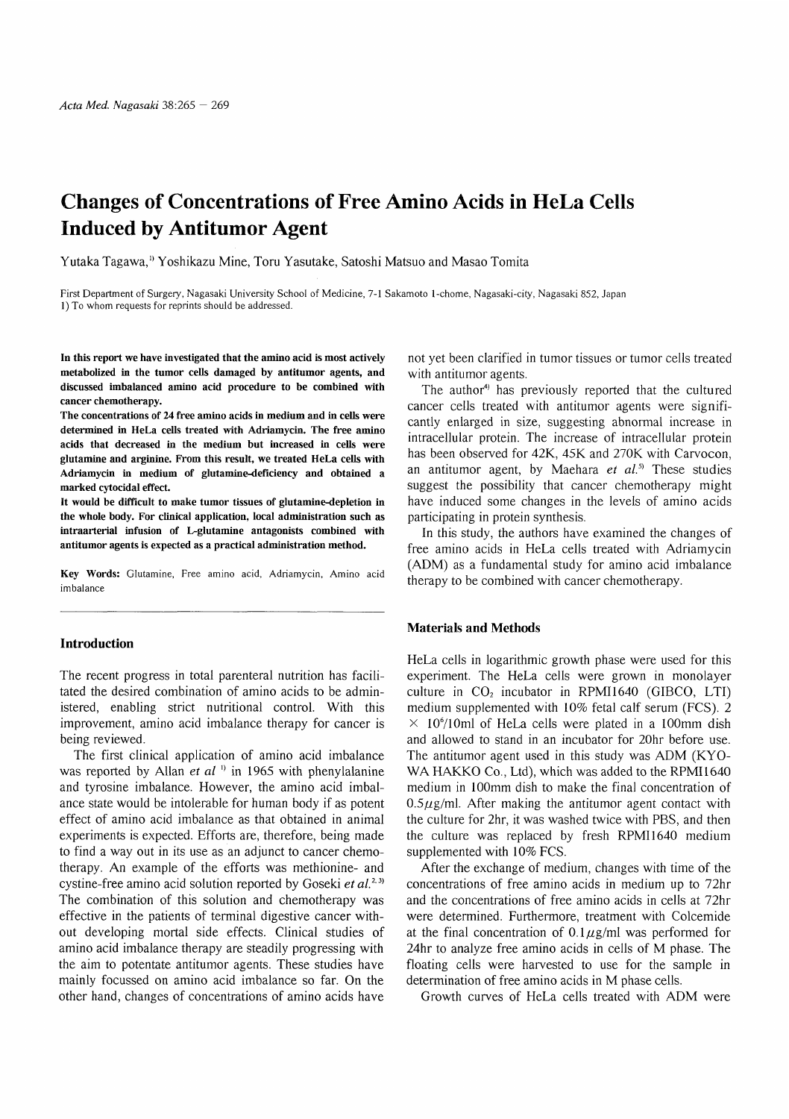# Changes of Concentrations of Free Amino Acids in HeLa Cells Induced by Antitumor Agent

Yutaka Tagawa,1) Yoshikazu Mine, Toru Yasutake, Satoshi Matsuo and Masao Tomita

First Department of Surgery, Nagasaki University School of Medicine, 7-1 Sakamoto 1-chome, Nagasaki-city, Nagasaki 852, Japan 1) To whom requests for reprints should be addressed.

In this report we have investigated that the amino acid is most actively metabolized in the tumor cells damaged by antitumor agents, and discussed imbalanced amino acid procedure to be combined with cancer chemotherapy.

The concentrations of 24 free amino acids in medium and in cells were determined in HeLa cells treated with Adriamycin. The free amino acids that decreased in the medium but increased in cells were glutamine and arginine. From this result, we treated HeLa cells with Adriamycin in medium of glutamine-deficiency and obtained a marked cytocidal effect.

It would be difficult to make tumor tissues of glutamine-depletion in the whole body. For clinical application, local administration such as intraarterial infusion of L-glutamine antagonists combined with antitumor agents is expected as a practical administration method.

Key Words: Glutamine, Free amino acid, Adriamycin, Amino acid imbalance

## Introduction

The recent progress in total parenteral nutrition has facilitated the desired combination of amino acids to be administered, enabling strict nutritional control. With this improvement, amino acid imbalance therapy for cancer is being reviewed.

The first clinical application of amino acid imbalance was reported by Allan *et al*  $\binom{n}{k}$  in 1965 with phenylalanine and tyrosine imbalance. However, the amino acid imbalance state would be intolerable for human body if as potent effect of amino acid imbalance as that obtained in animal experiments is expected. Efforts are, therefore, being made to find a way out in its use as an adjunct to cancer chemotherapy. An example of the efforts was methionine- and cystine-free amino acid solution reported by Goseki et  $al.^{2.3}$ The combination of this solution and chemotherapy was effective in the patients of terminal digestive cancer without developing mortal side effects. Clinical studies of amino acid imbalance therapy are steadily progressing with the aim to potentate antitumor agents. These studies have mainly focussed on amino acid imbalance so far. On the other hand, changes of concentrations of amino acids have

not yet been clarified in tumor tissues or tumor cells treated with antitumor agents.

The author<sup>4)</sup> has previously reported that the cultured cancer cells treated with antitumor agents were significantly enlarged in size, suggesting abnormal increase in intracellular protein. The increase of intracellular protein has been observed for 42K, 45K and 270K with Carvocon, an antitumor agent, by Maehara *et al*.<sup>5</sup> These studies suggest the possibility that cancer chemotherapy might have induced some changes in the levels of amino acids participating in protein synthesis.

In this study, the authors have examined the changes of free amino acids in HeLa cells treated with Adriamycin (ADM) as a fundamental study for amino acid imbalance therapy to be combined with cancer chemotherapy.

## Materials and Methods

HeLa cells in logarithmic growth phase were used for this experiment. The HeLa cells were grown in monolayer culture in  $CO<sub>2</sub>$  incubator in RPMI1640 (GIBCO, LTI) medium supplemented with 10% fetal calf serum (FCS). 2  $\times$  10<sup>6</sup>/10ml of HeLa cells were plated in a 100mm dish and allowed to stand in an incubator for 20hr before use. The antitumor agent used in this study was ADM (KYO-WA HAKKO Co., Ltd), which was added to the RPMI1640 medium in 100mm dish to make the final concentration of  $0.5\mu$ g/ml. After making the antitumor agent contact with the culture for 2hr, it was washed twice with PBS, and then the culture was replaced by fresh RPMI1640 medium supplemented with 10% FCS.

After the exchange of medium, changes with time of the concentrations of free amino acids in medium up to 72hr and the concentrations of free amino acids in cells at 72hr were determined. Furthermore, treatment with Colcemide at the final concentration of  $0.1 \mu$ g/ml was performed for 24hr to analyze free amino acids in cells of M phase. The floating cells were harvested to use for the sample in determination of free amino acids in M phase cells.

Growth curves of HeLa cells treated with ADM were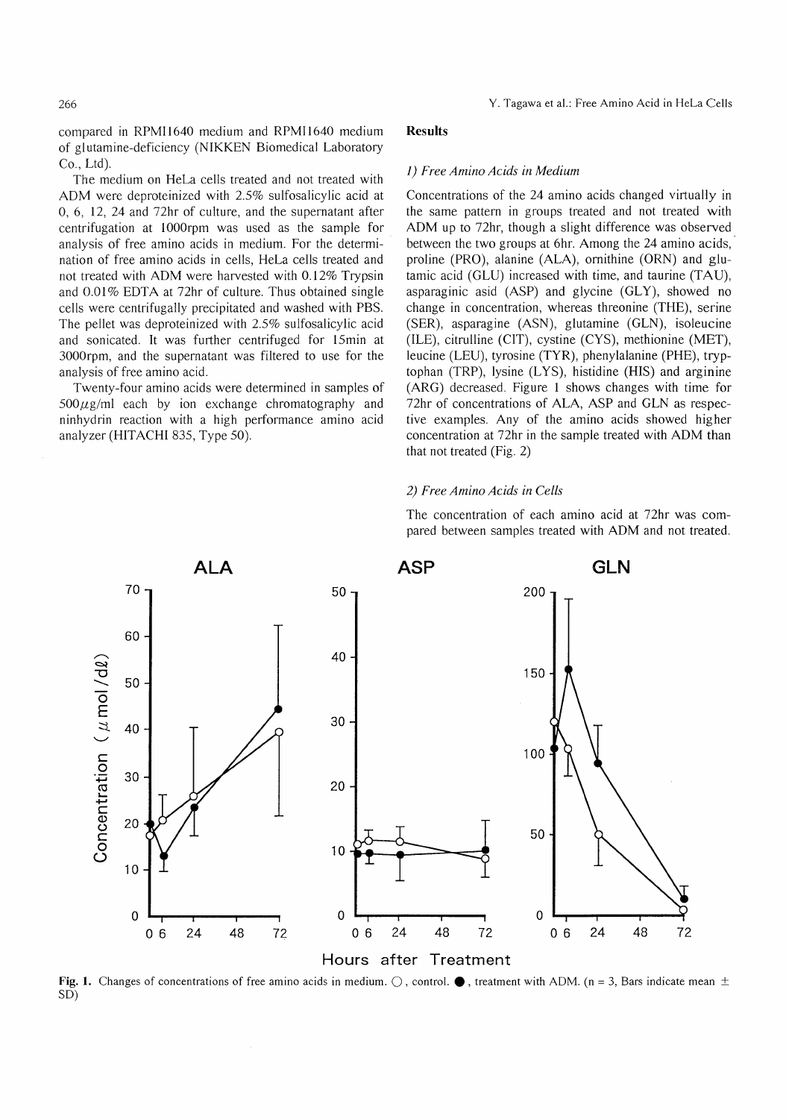266

compared in RPM11640 medium and RPM11640 medium of glutamine-deficiency (NIKKEN Biomedical Laboratory Co., Ltd).

The medium on HeLa cells treated and not treated with ADM were deproteinized with 2.5% sulfosalicylic acid at 0, 6, 12, 24 and 72hr of culture, and the supernatant after centrifugation at 1000rpm was used as the sample for analysis of free amino acids in medium. For the determination of free amino acids in cells, HeLa cells treated and not treated with ADM were harvested with 0.12% Trypsin and 0.01% EDTA at 72hr of culture. Thus obtained single cells were centrifugally precipitated and washed with PBS. The pellet was deproteinized with 2.5% sulfosalicylic acid and sonicated. It was further centrifuged for 15min at 3000rpm, and the supernatant was filtered to use for the analysis of free amino acid.

Twenty-four amino acids were determined in samples of  $500\mu$ g/ml each by ion exchange chromatography and ninhydrin reaction with a high performance amino acid analyzer (HITACHI 835, Type 50).

# Results

#### 1) Free Amino Acids in Medium

Concentrations of the 24 amino acids changed virtually in the same pattern in groups treated and not treated with ADM up to 72hr, though a slight difference was observed between the two groups at 6hr. Among the 24 amino acids, proline (PRO), alanine (ALA), ornithine (ORN) and glutamic acid (GLU) increased with time, and taurine (TAU), asparaginic asid (ASP) and glycine (GLY), showed no change in concentration, whereas threonine (THE), serine (SER), asparagine (ASN), glutamine (GLN), isoleucine (ILE), citrulline (CIT), cystine (CYS), methionine (MET), leucine (LEU), tyrosine (TYR), phenylalanine (PHE), tryptophan (TRP), lysine (LYS), histidine (HIS) and arginine (ARG) decreased. Figure 1 shows changes with time for 72hr of concentrations of ALA, ASP and GLN as respective examples. Any of the amino acids showed higher concentration at 72hr in the sample treated with ADM than that not treated (Fig. 2)

### 2) Free Amino Acids in Cells

The concentration of each amino acid at 72hr was compared between samples treated with ADM and not treated.



Fig. 1. Changes of concentrations of free amino acids in medium.  $\bigcirc$ , control.  $\bullet$ , treatment with ADM. (n = 3, Bars indicate mean  $\pm$ SD)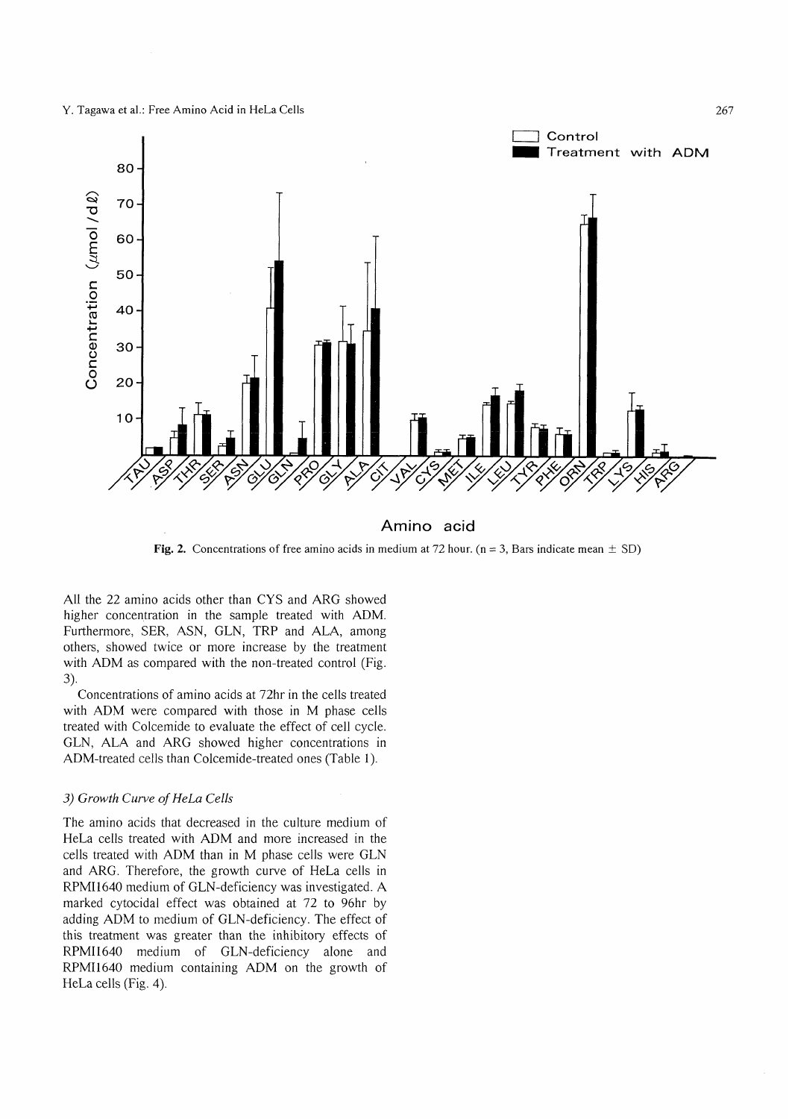#### Y. Tagawa et al.: Free Amino Acid in HeLa Cells



**Fig. 2.** Concentrations of free amino acids in medium at 72 hour. (n = 3, Bars indicate mean  $\pm$  SD)

All the 22 amino acids other than CYS and ARG showed higher concentration in the sample treated with ADM. Furthermore, SER, ASN, GLN, TRP and ALA, among others, showed twice or more increase by the treatment with ADM as compared with the non-treated control (Fig. 3).

 Concentrations of amino acids at 72hr in the cells treated with ADM were compared with those in M phase cells treated with Colcemide to evaluate the effect of cell cycle. GLN, ALA and ARG showed higher concentrations in ADM-treated cells than Colcemide-treated ones (Table 1).

# 3) Growth Curve of HeLa Cells

The amino acids that decreased in the culture medium of HeLa cells treated with ADM and more increased in the cells treated with ADM than in M phase cells were GLN and ARG. Therefore, the growth curve of HeLa cells in RPMI1640 medium of GLN-deficiency was investigated. A marked cytocidal effect was obtained at 72 to 96hr by adding ADM to medium of GLN-deficiency. The effect of this treatment was greater than the inhibitory effects of RPMI1640 medium of GLN-deficiency alone and RPMI1640 medium containing ADM on the growth of HeLa cells (Fig. 4).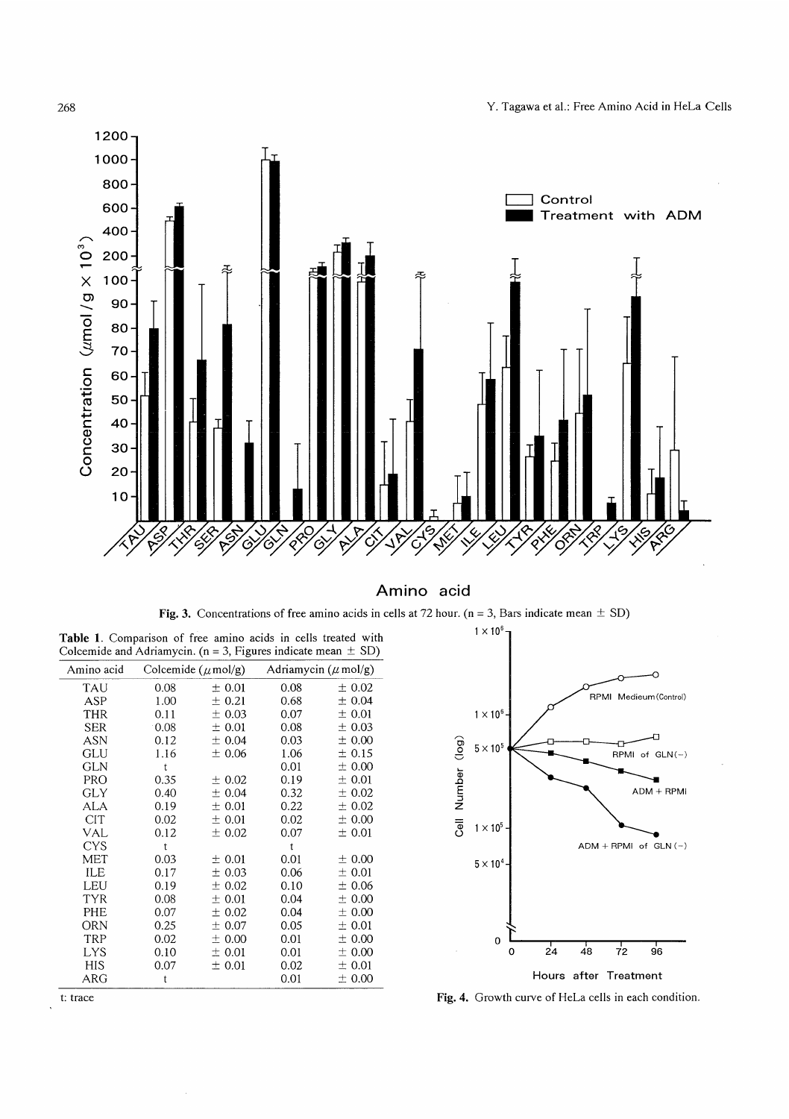



Amino acid

Fig. 3. Concentrations of free amino acids in cells at 72 hour. ( $n = 3$ , Bars indicate mean  $\pm$  SD)

| Colcemide and Adriamycin. ( $n = 3$ , Figures indicate mean $\pm$ SD) |                                |        |                           |        |
|-----------------------------------------------------------------------|--------------------------------|--------|---------------------------|--------|
| Amino acid                                                            | Colcemide $(\mu \text{mol/g})$ |        | Adriamycin ( $\mu$ mol/g) |        |
| <b>TAU</b>                                                            | 0.08                           | ± 0.01 | 0.08                      | ± 0.02 |
| ASP                                                                   | 1.00                           | ± 0.21 | 0.68                      | ± 0.04 |
| <b>THR</b>                                                            | 0.11                           | ± 0.03 | 0.07                      | ± 0.01 |
| <b>SER</b>                                                            | 0.08                           | ± 0.01 | 0.08                      | ± 0.03 |
| ASN                                                                   | 0.12                           | ± 0.04 | 0.03                      | ±0.00  |
| GLU                                                                   | 1.16                           | ± 0.06 | 1.06                      | ± 0.15 |
| <b>GLN</b>                                                            | t                              |        | 0.01                      | ± 0.00 |
| <b>PRO</b>                                                            | 0.35                           | ± 0.02 | 0.19                      | ± 0.01 |
| GLY                                                                   | 0.40                           | ± 0.04 | 0.32                      | ± 0.02 |
| ALA                                                                   | 0.19                           | ± 0.01 | 0.22                      | ± 0.02 |
| <b>CIT</b>                                                            | 0.02                           | ± 0.01 | 0.02                      | ± 0.00 |
| VAL                                                                   | 0.12                           | ± 0.02 | 0.07                      | ± 0.01 |
| <b>CYS</b>                                                            | t                              |        | $\mathbf t$               |        |
| MET                                                                   | 0.03                           | ± 0.01 | 0.01                      | ± 0.00 |
| ILE                                                                   | 0.17                           | ± 0.03 | 0.06                      | ± 0.01 |
| LEU                                                                   | 0.19                           | ± 0.02 | 0.10                      | ±0.06  |
| TYR                                                                   | 0.08                           | ± 0.01 | 0.04                      | ± 0.00 |
| PHE                                                                   | 0.07                           | ± 0.02 | 0.04                      | ± 0.00 |
| ORN                                                                   | 0.25                           | ± 0.07 | 0.05                      | ± 0.01 |
| TRP                                                                   | 0.02                           | ± 0.00 | 0.01                      | ± 0.00 |
| <b>LYS</b>                                                            | 0.10                           | ± 0.01 | 0.01                      | ± 0.00 |
| HIS                                                                   | 0.07                           | ± 0.01 | 0.02                      | ± 0.01 |
| ARG                                                                   | t                              |        | 0.01                      | ± 0.00 |
|                                                                       |                                |        |                           |        |

Table 1. Comparison of free amino acids in cells treated with



t: trace Fig. 4. Growth curve of HeLa cells in each condition.

 $\ddot{\phantom{a}}$